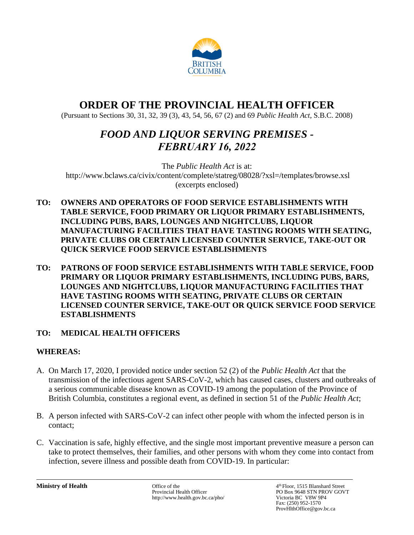

# **ORDER OF THE PROVINCIAL HEALTH OFFICER**

(Pursuant to Sections 30, 31, 32, 39 (3), 43, 54, 56, 67 (2) and 69 *Public Health Act*, S.B.C. 2008)

# *FOOD AND LIQUOR SERVING PREMISES - FEBRUARY 16, 2022*

The *Public Health Act* is at: <http://www.bclaws.ca/civix/content/complete/statreg/08028/?xsl=/templates/browse.xsl> (excerpts enclosed)

- **TO: OWNERS AND OPERATORS OF FOOD SERVICE ESTABLISHMENTS WITH TABLE SERVICE, FOOD PRIMARY OR LIQUOR PRIMARY ESTABLISHMENTS, INCLUDING PUBS, BARS, LOUNGES AND NIGHTCLUBS, LIQUOR MANUFACTURING FACILITIES THAT HAVE TASTING ROOMS WITH SEATING, PRIVATE CLUBS OR CERTAIN LICENSED COUNTER SERVICE, TAKE-OUT OR QUICK SERVICE FOOD SERVICE ESTABLISHMENTS**
- **TO: PATRONS OF FOOD SERVICE ESTABLISHMENTS WITH TABLE SERVICE, FOOD PRIMARY OR LIQUOR PRIMARY ESTABLISHMENTS, INCLUDING PUBS, BARS, LOUNGES AND NIGHTCLUBS, LIQUOR MANUFACTURING FACILITIES THAT HAVE TASTING ROOMS WITH SEATING, PRIVATE CLUBS OR CERTAIN LICENSED COUNTER SERVICE, TAKE-OUT OR QUICK SERVICE FOOD SERVICE ESTABLISHMENTS**

# **TO: MEDICAL HEALTH OFFICERS**

# **WHEREAS:**

- A. On March 17, 2020, I provided notice under section 52 (2) of the *Public Health Act* that the transmission of the infectious agent SARS-CoV-2, which has caused cases, clusters and outbreaks of a serious communicable disease known as COVID-19 among the population of the Province of British Columbia, constitutes a regional event, as defined in section 51 of the *Public Health Act*;
- B. A person infected with SARS-CoV-2 can infect other people with whom the infected person is in contact;
- C. Vaccination is safe, highly effective, and the single most important preventive measure a person can take to protect themselves, their families, and other persons with whom they come into contact from infection, severe illness and possible death from COVID-19. In particular:

**Ministry of Health** Office of the 4 Provincial Health Officer http://www.health.gov.bc.ca/pho/ 4<sup>th</sup> Floor, 1515 Blanshard Street PO Box 9648 STN PROV GOVT<br>Victoria BC V8W 9P4 Fax: (250) 952-1570 ProvHlthOffice@gov.bc.ca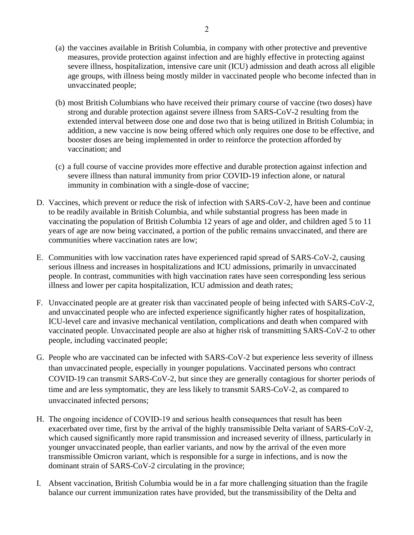- (a) the vaccines available in British Columbia, in company with other protective and preventive measures, provide protection against infection and are highly effective in protecting against severe illness, hospitalization, intensive care unit (ICU) admission and death across all eligible age groups, with illness being mostly milder in vaccinated people who become infected than in unvaccinated people;
- (b) most British Columbians who have received their primary course of vaccine (two doses) have strong and durable protection against severe illness from SARS-CoV-2 resulting from the extended interval between dose one and dose two that is being utilized in British Columbia; in addition, a new vaccine is now being offered which only requires one dose to be effective, and booster doses are being implemented in order to reinforce the protection afforded by vaccination; and
- (c) a full course of vaccine provides more effective and durable protection against infection and severe illness than natural immunity from prior COVID-19 infection alone, or natural immunity in combination with a single-dose of vaccine;
- D. Vaccines, which prevent or reduce the risk of infection with SARS-CoV-2, have been and continue to be readily available in British Columbia, and while substantial progress has been made in vaccinating the population of British Columbia 12 years of age and older, and children aged 5 to 11 years of age are now being vaccinated, a portion of the public remains unvaccinated, and there are communities where vaccination rates are low;
- E. Communities with low vaccination rates have experienced rapid spread of SARS-CoV-2, causing serious illness and increases in hospitalizations and ICU admissions, primarily in unvaccinated people. In contrast, communities with high vaccination rates have seen corresponding less serious illness and lower per capita hospitalization, ICU admission and death rates;
- F. Unvaccinated people are at greater risk than vaccinated people of being infected with SARS-CoV-2, and unvaccinated people who are infected experience significantly higher rates of hospitalization, ICU-level care and invasive mechanical ventilation, complications and death when compared with vaccinated people. Unvaccinated people are also at higher risk of transmitting SARS-CoV-2 to other people, including vaccinated people;
- G. People who are vaccinated can be infected with SARS-CoV-2 but experience less severity of illness than unvaccinated people, especially in younger populations. Vaccinated persons who contract COVID-19 can transmit SARS-CoV-2, but since they are generally contagious for shorter periods of time and are less symptomatic, they are less likely to transmit SARS-CoV-2, as compared to unvaccinated infected persons;
- H. The ongoing incidence of COVID-19 and serious health consequences that result has been exacerbated over time, first by the arrival of the highly transmissible Delta variant of SARS-CoV-2, which caused significantly more rapid transmission and increased severity of illness, particularly in younger unvaccinated people, than earlier variants, and now by the arrival of the even more transmissible Omicron variant, which is responsible for a surge in infections, and is now the dominant strain of SARS-CoV-2 circulating in the province;
- I. Absent vaccination, British Columbia would be in a far more challenging situation than the fragile balance our current immunization rates have provided, but the transmissibility of the Delta and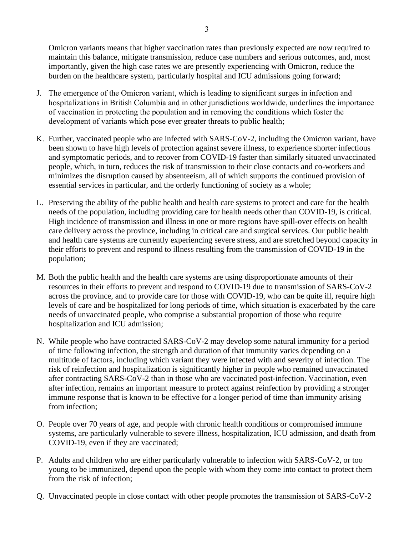Omicron variants means that higher vaccination rates than previously expected are now required to maintain this balance, mitigate transmission, reduce case numbers and serious outcomes, and, most importantly, given the high case rates we are presently experiencing with Omicron, reduce the burden on the healthcare system, particularly hospital and ICU admissions going forward;

- J. The emergence of the Omicron variant, which is leading to significant surges in infection and hospitalizations in British Columbia and in other jurisdictions worldwide, underlines the importance of vaccination in protecting the population and in removing the conditions which foster the development of variants which pose ever greater threats to public health;
- K. Further, vaccinated people who are infected with SARS-CoV-2, including the Omicron variant, have been shown to have high levels of protection against severe illness, to experience shorter infectious and symptomatic periods, and to recover from COVID-19 faster than similarly situated unvaccinated people, which, in turn, reduces the risk of transmission to their close contacts and co-workers and minimizes the disruption caused by absenteeism, all of which supports the continued provision of essential services in particular, and the orderly functioning of society as a whole;
- L. Preserving the ability of the public health and health care systems to protect and care for the health needs of the population, including providing care for health needs other than COVID-19, is critical. High incidence of transmission and illness in one or more regions have spill-over effects on health care delivery across the province, including in critical care and surgical services. Our public health and health care systems are currently experiencing severe stress, and are stretched beyond capacity in their efforts to prevent and respond to illness resulting from the transmission of COVID-19 in the population;
- M. Both the public health and the health care systems are using disproportionate amounts of their resources in their efforts to prevent and respond to COVID-19 due to transmission of SARS-CoV-2 across the province, and to provide care for those with COVID-19, who can be quite ill, require high levels of care and be hospitalized for long periods of time, which situation is exacerbated by the care needs of unvaccinated people, who comprise a substantial proportion of those who require hospitalization and ICU admission;
- N. While people who have contracted SARS-CoV-2 may develop some natural immunity for a period of time following infection, the strength and duration of that immunity varies depending on a multitude of factors, including which variant they were infected with and severity of infection. The risk of reinfection and hospitalization is significantly higher in people who remained unvaccinated after contracting SARS-CoV-2 than in those who are vaccinated post-infection. Vaccination, even after infection, remains an important measure to protect against reinfection by providing a stronger immune response that is known to be effective for a longer period of time than immunity arising from infection;
- O. People over 70 years of age, and people with chronic health conditions or compromised immune systems, are particularly vulnerable to severe illness, hospitalization, ICU admission, and death from COVID-19, even if they are vaccinated;
- P. Adults and children who are either particularly vulnerable to infection with SARS-CoV-2, or too young to be immunized, depend upon the people with whom they come into contact to protect them from the risk of infection;
- Q. Unvaccinated people in close contact with other people promotes the transmission of SARS-CoV-2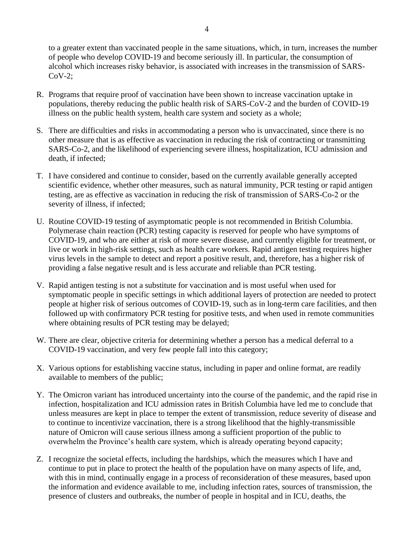to a greater extent than vaccinated people in the same situations, which, in turn, increases the number of people who develop COVID-19 and become seriously ill. In particular, the consumption of alcohol which increases risky behavior, is associated with increases in the transmission of SARS-CoV-2;

- R. Programs that require proof of vaccination have been shown to increase vaccination uptake in populations, thereby reducing the public health risk of SARS-CoV-2 and the burden of COVID-19 illness on the public health system, health care system and society as a whole;
- S. There are difficulties and risks in accommodating a person who is unvaccinated, since there is no other measure that is as effective as vaccination in reducing the risk of contracting or transmitting SARS-Co-2, and the likelihood of experiencing severe illness, hospitalization, ICU admission and death, if infected;
- T. I have considered and continue to consider, based on the currently available generally accepted scientific evidence, whether other measures, such as natural immunity, PCR testing or rapid antigen testing, are as effective as vaccination in reducing the risk of transmission of SARS-Co-2 or the severity of illness, if infected;
- U. Routine COVID-19 testing of asymptomatic people is not recommended in British Columbia. Polymerase chain reaction (PCR) testing capacity is reserved for people who have symptoms of COVID-19, and who are either at risk of more severe disease, and currently eligible for treatment, or live or work in high-risk settings, such as health care workers. Rapid antigen testing requires higher virus levels in the sample to detect and report a positive result, and, therefore, has a higher risk of providing a false negative result and is less accurate and reliable than PCR testing.
- V. Rapid antigen testing is not a substitute for vaccination and is most useful when used for symptomatic people in specific settings in which additional layers of protection are needed to protect people at higher risk of serious outcomes of COVID-19, such as in long-term care facilities, and then followed up with confirmatory PCR testing for positive tests, and when used in remote communities where obtaining results of PCR testing may be delayed;
- W. There are clear, objective criteria for determining whether a person has a medical deferral to a COVID-19 vaccination, and very few people fall into this category;
- X. Various options for establishing vaccine status, including in paper and online format, are readily available to members of the public;
- Y. The Omicron variant has introduced uncertainty into the course of the pandemic, and the rapid rise in infection, hospitalization and ICU admission rates in British Columbia have led me to conclude that unless measures are kept in place to temper the extent of transmission, reduce severity of disease and to continue to incentivize vaccination, there is a strong likelihood that the highly-transmissible nature of Omicron will cause serious illness among a sufficient proportion of the public to overwhelm the Province's health care system, which is already operating beyond capacity;
- Z. I recognize the societal effects, including the hardships, which the measures which I have and continue to put in place to protect the health of the population have on many aspects of life, and, with this in mind, continually engage in a process of reconsideration of these measures, based upon the information and evidence available to me, including infection rates, sources of transmission, the presence of clusters and outbreaks, the number of people in hospital and in ICU, deaths, the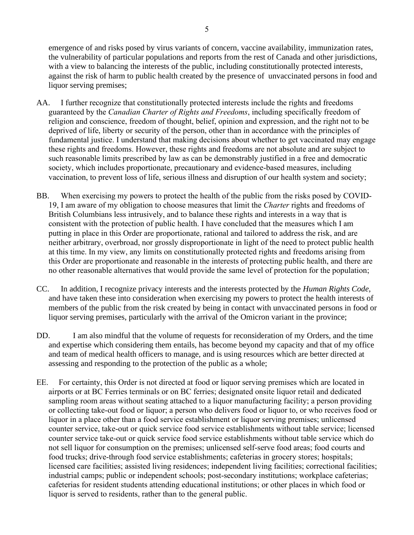5

emergence of and risks posed by virus variants of concern, vaccine availability, immunization rates, the vulnerability of particular populations and reports from the rest of Canada and other jurisdictions, with a view to balancing the interests of the public, including constitutionally protected interests, against the risk of harm to public health created by the presence of unvaccinated persons in food and liquor serving premises;

- AA. I further recognize that constitutionally protected interests include the rights and freedoms guaranteed by the *Canadian Charter of Rights and Freedoms*, including specifically freedom of religion and conscience, freedom of thought, belief, opinion and expression, and the right not to be deprived of life, liberty or security of the person, other than in accordance with the principles of fundamental justice. I understand that making decisions about whether to get vaccinated may engage these rights and freedoms. However, these rights and freedoms are not absolute and are subject to such reasonable limits prescribed by law as can be demonstrably justified in a free and democratic society, which includes proportionate, precautionary and evidence-based measures, including vaccination, to prevent loss of life, serious illness and disruption of our health system and society;
- BB. When exercising my powers to protect the health of the public from the risks posed by COVID-19, I am aware of my obligation to choose measures that limit the *Charter* rights and freedoms of British Columbians less intrusively, and to balance these rights and interests in a way that is consistent with the protection of public health. I have concluded that the measures which I am putting in place in this Order are proportionate, rational and tailored to address the risk, and are neither arbitrary, overbroad, nor grossly disproportionate in light of the need to protect public health at this time. In my view, any limits on constitutionally protected rights and freedoms arising from this Order are proportionate and reasonable in the interests of protecting public health, and there are no other reasonable alternatives that would provide the same level of protection for the population;
- CC. In addition, I recognize privacy interests and the interests protected by the *Human Rights Code*, and have taken these into consideration when exercising my powers to protect the health interests of members of the public from the risk created by being in contact with unvaccinated persons in food or liquor serving premises, particularly with the arrival of the Omicron variant in the province;
- DD. I am also mindful that the volume of requests for reconsideration of my Orders, and the time and expertise which considering them entails, has become beyond my capacity and that of my office and team of medical health officers to manage, and is using resources which are better directed at assessing and responding to the protection of the public as a whole;
- EE. For certainty, this Order is not directed at food or liquor serving premises which are located in airports or at BC Ferries terminals or on BC ferries; designated onsite liquor retail and dedicated sampling room areas without seating attached to a liquor manufacturing facility; a person providing or collecting take-out food or liquor; a person who delivers food or liquor to, or who receives food or liquor in a place other than a food service establishment or liquor serving premises; unlicensed counter service, take-out or quick service food service establishments without table service; licensed counter service take-out or quick service food service establishments without table service which do not sell liquor for consumption on the premises; unlicensed self-serve food areas; food courts and food trucks; drive-through food service establishments; cafeterias in grocery stores; hospitals; licensed care facilities; assisted living residences; independent living facilities; correctional facilities; industrial camps; public or independent schools; post-secondary institutions; workplace cafeterias; cafeterias for resident students attending educational institutions; or other places in which food or liquor is served to residents, rather than to the general public.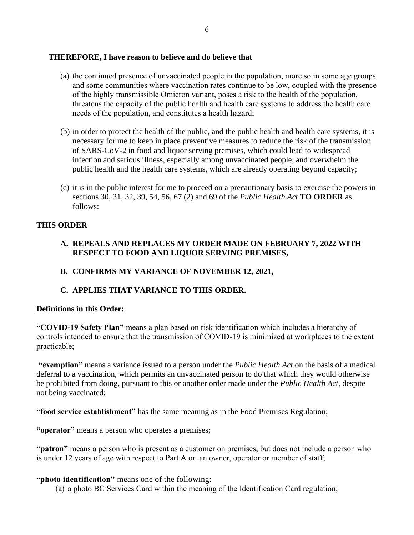## **THEREFORE, I have reason to believe and do believe that**

- (a) the continued presence of unvaccinated people in the population, more so in some age groups and some communities where vaccination rates continue to be low, coupled with the presence of the highly transmissible Omicron variant, poses a risk to the health of the population, threatens the capacity of the public health and health care systems to address the health care needs of the population, and constitutes a health hazard;
- (b) in order to protect the health of the public, and the public health and health care systems, it is necessary for me to keep in place preventive measures to reduce the risk of the transmission of SARS-CoV-2 in food and liquor serving premises, which could lead to widespread infection and serious illness, especially among unvaccinated people, and overwhelm the public health and the health care systems, which are already operating beyond capacity;
- (c) it is in the public interest for me to proceed on a precautionary basis to exercise the powers in sections 30, 31, 32, 39, 54, 56, 67 (2) and 69 of the *Public Health Act* **TO ORDER** as follows:

# **THIS ORDER**

- **A. REPEALS AND REPLACES MY ORDER MADE ON FEBRUARY 7, 2022 WITH RESPECT TO FOOD AND LIQUOR SERVING PREMISES,**
- **B. CONFIRMS MY VARIANCE OF NOVEMBER 12, 2021,**

# **C. APPLIES THAT VARIANCE TO THIS ORDER.**

#### **Definitions in this Order:**

**"COVID-19 Safety Plan"** means a plan based on risk identification which includes a hierarchy of controls intended to ensure that the transmission of COVID-19 is minimized at workplaces to the extent practicable;

**"exemption"** means a variance issued to a person under the *Public Health Act* on the basis of a medical deferral to a vaccination, which permits an unvaccinated person to do that which they would otherwise be prohibited from doing, pursuant to this or another order made under the *Public Health Act*, despite not being vaccinated;

**"food service establishment"** has the same meaning as in the Food Premises Regulation;

**"operator"** means a person who operates a premises**;**

**"patron"** means a person who is present as a customer on premises, but does not include a person who is under 12 years of age with respect to Part A or an owner, operator or member of staff;

**"photo identification"** means one of the following:

(a) a photo BC Services Card within the meaning of the Identification Card regulation;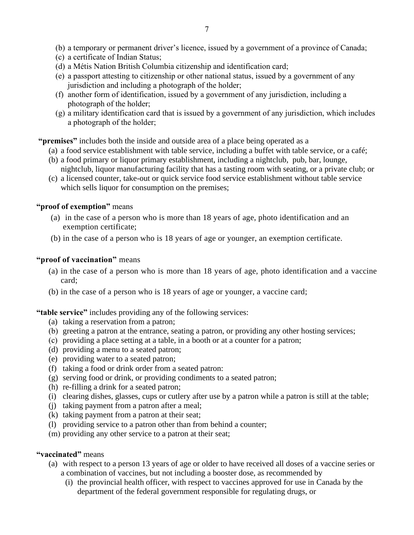- (b) a temporary or permanent driver's licence, issued by a government of a province of Canada;
- (c) a certificate of Indian Status;
- (d) a Métis Nation British Columbia citizenship and identification card;
- (e) a passport attesting to citizenship or other national status, issued by a government of any jurisdiction and including a photograph of the holder;
- (f) another form of identification, issued by a government of any jurisdiction, including a photograph of the holder;
- (g) a military identification card that is issued by a government of any jurisdiction, which includes a photograph of the holder;

**"premises"** includes both the inside and outside area of a place being operated as a

- (a) a food service establishment with table service, including a buffet with table service, or a café;
- (b) a food primary or liquor primary establishment, including a nightclub, pub, bar, lounge, nightclub, liquor manufacturing facility that has a tasting room with seating, or a private club; or
- (c) a licensed counter, take-out or quick service food service establishment without table service which sells liquor for consumption on the premises;

#### **"proof of exemption"** means

- (a) in the case of a person who is more than 18 years of age, photo identification and an exemption certificate;
- (b) in the case of a person who is 18 years of age or younger, an exemption certificate.

## **"proof of vaccination"** means

- (a) in the case of a person who is more than 18 years of age, photo identification and a vaccine card;
- (b) in the case of a person who is 18 years of age or younger, a vaccine card;

**"table service"** includes providing any of the following services:

- (a) taking a reservation from a patron;
- (b) greeting a patron at the entrance, seating a patron, or providing any other hosting services;
- (c) providing a place setting at a table, in a booth or at a counter for a patron;
- (d) providing a menu to a seated patron;
- (e) providing water to a seated patron;
- (f) taking a food or drink order from a seated patron:
- (g) serving food or drink, or providing condiments to a seated patron;
- (h) re-filling a drink for a seated patron;
- (i) clearing dishes, glasses, cups or cutlery after use by a patron while a patron is still at the table;
- (j) taking payment from a patron after a meal;
- (k) taking payment from a patron at their seat;
- (l) providing service to a patron other than from behind a counter;
- (m) providing any other service to a patron at their seat;

## **"vaccinated"** means

- (a) with respect to a person 13 years of age or older to have received all doses of a vaccine series or a combination of vaccines, but not including a booster dose, as recommended by
	- (i) the provincial health officer, with respect to vaccines approved for use in Canada by the department of the federal government responsible for regulating drugs, or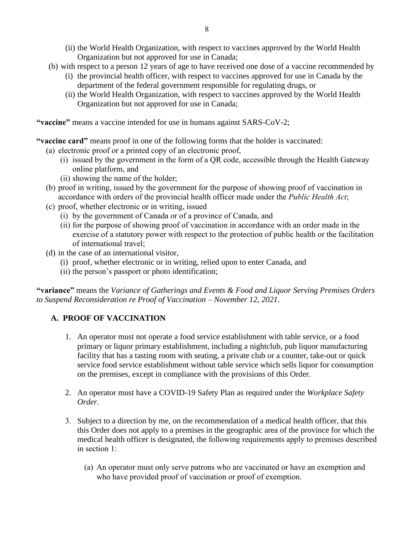- (ii) the World Health Organization, with respect to vaccines approved by the World Health Organization but not approved for use in Canada;
- (b) with respect to a person 12 years of age to have received one dose of a vaccine recommended by
	- (i) the provincial health officer, with respect to vaccines approved for use in Canada by the department of the federal government responsible for regulating drugs, or
	- (ii) the World Health Organization, with respect to vaccines approved by the World Health Organization but not approved for use in Canada;

**"vaccine"** means a vaccine intended for use in humans against SARS-CoV-2;

**"vaccine card"** means proof in one of the following forms that the holder is vaccinated:

- (a) electronic proof or a printed copy of an electronic proof,
	- (i) issued by the government in the form of a QR code, accessible through the Health Gateway online platform, and
	- (ii) showing the name of the holder;
	- (b) proof in writing, issued by the government for the purpose of showing proof of vaccination in accordance with orders of the provincial health officer made under the *Public Health Act*;
	- (c) proof, whether electronic or in writing, issued
		- (i) by the government of Canada or of a province of Canada, and
		- (ii) for the purpose of showing proof of vaccination in accordance with an order made in the exercise of a statutory power with respect to the protection of public health or the facilitation of international travel;
	- (d) in the case of an international visitor,
		- (i) proof, whether electronic or in writing, relied upon to enter Canada, and
		- (ii) the person's passport or photo identification;

**"variance"** means the *Variance of Gatherings and Events & Food and Liquor Serving Premises Orders to Suspend Reconsideration re Proof of Vaccination – November 12, 2021*.

#### **A. PROOF OF VACCINATION**

- 1. An operator must not operate a food service establishment with table service, or a food primary or liquor primary establishment, including a nightclub, pub liquor manufacturing facility that has a tasting room with seating, a private club or a counter, take-out or quick service food service establishment without table service which sells liquor for consumption on the premises, except in compliance with the provisions of this Order.
- 2. An operator must have a COVID-19 Safety Plan as required under the *Workplace Safety Order.*
- 3. Subject to a direction by me, on the recommendation of a medical health officer, that this this Order does not apply to a premises in the geographic area of the province for which the medical health officer is designated, the following requirements apply to premises described in section 1:
	- (a) An operator must only serve patrons who are vaccinated or have an exemption and who have provided proof of vaccination or proof of exemption.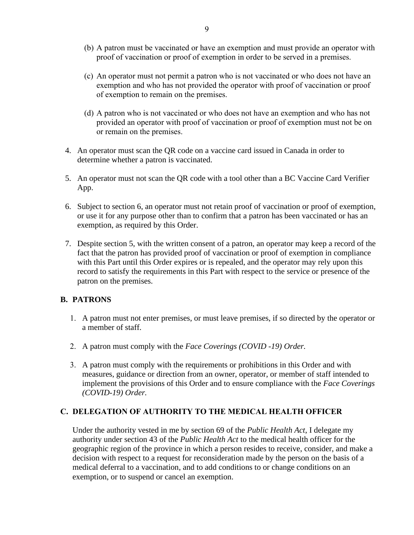- (b) A patron must be vaccinated or have an exemption and must provide an operator with proof of vaccination or proof of exemption in order to be served in a premises.
- (c) An operator must not permit a patron who is not vaccinated or who does not have an exemption and who has not provided the operator with proof of vaccination or proof of exemption to remain on the premises.
- (d) A patron who is not vaccinated or who does not have an exemption and who has not provided an operator with proof of vaccination or proof of exemption must not be on or remain on the premises.
- 4. An operator must scan the QR code on a vaccine card issued in Canada in order to determine whether a patron is vaccinated.
- 5. An operator must not scan the QR code with a tool other than a BC Vaccine Card Verifier App.
- 6. Subject to section 6, an operator must not retain proof of vaccination or proof of exemption, or use it for any purpose other than to confirm that a patron has been vaccinated or has an exemption, as required by this Order.
- 7. Despite section 5, with the written consent of a patron, an operator may keep a record of the fact that the patron has provided proof of vaccination or proof of exemption in compliance with this Part until this Order expires or is repealed, and the operator may rely upon this record to satisfy the requirements in this Part with respect to the service or presence of the patron on the premises.

## **B. PATRONS**

- 1. A patron must not enter premises, or must leave premises, if so directed by the operator or a member of staff.
- 2. A patron must comply with the *Face Coverings (COVID -19) Order.*
- 3. A patron must comply with the requirements or prohibitions in this Order and with measures, guidance or direction from an owner, operator, or member of staff intended to implement the provisions of this Order and to ensure compliance with the *Face Coverings (COVID-19) Order.*

## **C. DELEGATION OF AUTHORITY TO THE MEDICAL HEALTH OFFICER**

Under the authority vested in me by section 69 of the *Public Health Act*, I delegate my authority under section 43 of the *Public Health Act* to the medical health officer for the geographic region of the province in which a person resides to receive, consider, and make a decision with respect to a request for reconsideration made by the person on the basis of a medical deferral to a vaccination, and to add conditions to or change conditions on an exemption, or to suspend or cancel an exemption.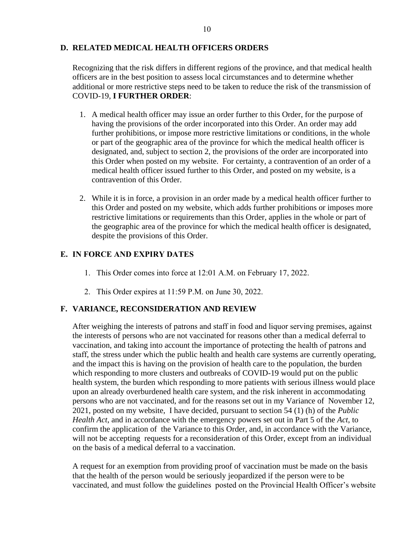#### **D. RELATED MEDICAL HEALTH OFFICERS ORDERS**

Recognizing that the risk differs in different regions of the province, and that medical health officers are in the best position to assess local circumstances and to determine whether additional or more restrictive steps need to be taken to reduce the risk of the transmission of COVID-19, **I FURTHER ORDER**:

- 1. A medical health officer may issue an order further to this Order, for the purpose of having the provisions of the order incorporated into this Order. An order may add further prohibitions, or impose more restrictive limitations or conditions, in the whole or part of the geographic area of the province for which the medical health officer is designated, and, subject to section 2, the provisions of the order are incorporated into this Order when posted on my website. For certainty, a contravention of an order of a medical health officer issued further to this Order, and posted on my website, is a contravention of this Order.
- 2. While it is in force, a provision in an order made by a medical health officer further to this Order and posted on my website, which adds further prohibitions or imposes more restrictive limitations or requirements than this Order, applies in the whole or part of the geographic area of the province for which the medical health officer is designated, despite the provisions of this Order.

## **E. IN FORCE AND EXPIRY DATES**

- 1. This Order comes into force at 12:01 A.M. on February 17, 2022.
- 2. This Order expires at 11:59 P.M. on June 30, 2022.

## **F. VARIANCE, RECONSIDERATION AND REVIEW**

After weighing the interests of patrons and staff in food and liquor serving premises, against the interests of persons who are not vaccinated for reasons other than a medical deferral to vaccination, and taking into account the importance of protecting the health of patrons and staff, the stress under which the public health and health care systems are currently operating, and the impact this is having on the provision of health care to the population, the burden which responding to more clusters and outbreaks of COVID-19 would put on the public health system, the burden which responding to more patients with serious illness would place upon an already overburdened health care system, and the risk inherent in accommodating persons who are not vaccinated, and for the reasons set out in my Variance of November 12, 2021, posted on my website, I have decided, pursuant to section 54 (1) (h) of the *Public Health Act*, and in accordance with the emergency powers set out in Part 5 of the *Act*, to confirm the application of the Variance to this Order, and, in accordance with the Variance, will not be accepting requests for a reconsideration of this Order, except from an individual on the basis of a medical deferral to a vaccination.

A request for an exemption from providing proof of vaccination must be made on the basis that the health of the person would be seriously jeopardized if the person were to be vaccinated, and must follow the guidelines posted on the Provincial Health Officer's website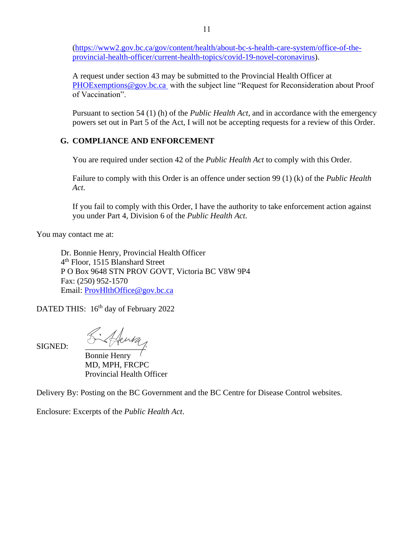[\(https://www2.gov.bc.ca/gov/content/health/about-bc-s-health-care-system/office-of-the](https://www2.gov.bc.ca/gov/content/health/about-bc-s-health-care-system/office-of-the-provincial-health-officer/current-health-topics/covid-19-novel-coronavirus)[provincial-health-officer/current-health-topics/covid-19-novel-coronavirus\)](https://www2.gov.bc.ca/gov/content/health/about-bc-s-health-care-system/office-of-the-provincial-health-officer/current-health-topics/covid-19-novel-coronavirus).

A request under section 43 may be submitted to the Provincial Health Officer at [PHOExemptions@gov.bc.ca](mailto:PHOExemptions@gov.bc.ca) with the subject line "Request for Reconsideration about Proof of Vaccination".

Pursuant to section 54 (1) (h) of the *Public Health Act*, and in accordance with the emergency powers set out in Part 5 of the Act, I will not be accepting requests for a review of this Order.

# **G. COMPLIANCE AND ENFORCEMENT**

You are required under section 42 of the *Public Health Act* to comply with this Order.

Failure to comply with this Order is an offence under section 99 (1) (k) of the *Public Health Act*.

If you fail to comply with this Order, I have the authority to take enforcement action against you under Part 4, Division 6 of the *Public Health Act.*

You may contact me at:

Dr. Bonnie Henry, Provincial Health Officer 4 th Floor, 1515 Blanshard Street P O Box 9648 STN PROV GOVT, Victoria BC V8W 9P4 Fax: (250) 952-1570 Email: [ProvHlthOffice@gov.bc.ca](mailto:ProvHlthOffice@gov.bc.ca)

DATED THIS: 16<sup>th</sup> day of February 2022

 $S$ igned:  $K$ thenty

Bonnie Henry MD, MPH, FRCPC Provincial Health Officer

Delivery By: Posting on the BC Government and the BC Centre for Disease Control websites.

Enclosure: Excerpts of the *Public Health Act*.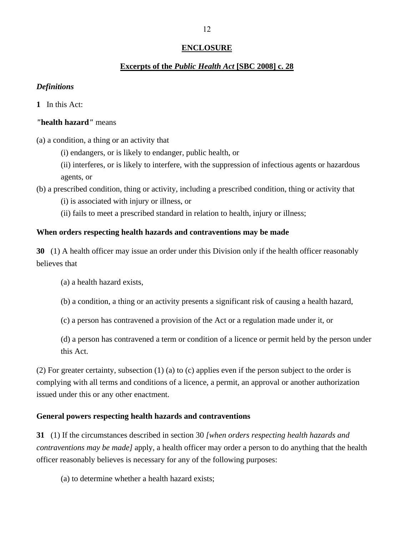## **ENCLOSURE**

#### **Excerpts of the** *Public Health Act* **[SBC 2008] c. 28**

#### *Definitions*

**1** In this Act:

#### *"***health hazard***"* means

(a) a condition, a thing or an activity that

(i) endangers, or is likely to endanger, public health, or

(ii) interferes, or is likely to interfere, with the suppression of infectious agents or hazardous agents, or

(b) a prescribed condition, thing or activity, including a prescribed condition, thing or activity that

(i) is associated with injury or illness, or

(ii) fails to meet a prescribed standard in relation to health, injury or illness;

#### **When orders respecting health hazards and contraventions may be made**

**30** (1) A health officer may issue an order under this Division only if the health officer reasonably believes that

(a) a health hazard exists,

(b) a condition, a thing or an activity presents a significant risk of causing a health hazard,

(c) a person has contravened a provision of the Act or a regulation made under it, or

(d) a person has contravened a term or condition of a licence or permit held by the person under this Act.

(2) For greater certainty, subsection (1) (a) to (c) applies even if the person subject to the order is complying with all terms and conditions of a licence, a permit, an approval or another authorization issued under this or any other enactment.

#### **General powers respecting health hazards and contraventions**

**31** (1) If the circumstances described in section 30 *[when orders respecting health hazards and contraventions may be made]* apply, a health officer may order a person to do anything that the health officer reasonably believes is necessary for any of the following purposes:

(a) to determine whether a health hazard exists;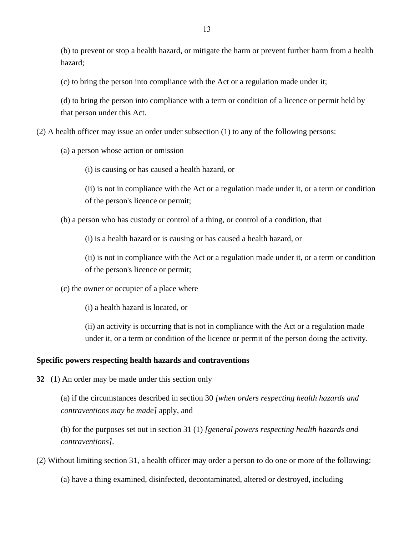(b) to prevent or stop a health hazard, or mitigate the harm or prevent further harm from a health hazard;

(c) to bring the person into compliance with the Act or a regulation made under it;

(d) to bring the person into compliance with a term or condition of a licence or permit held by that person under this Act.

(2) A health officer may issue an order under subsection (1) to any of the following persons:

(a) a person whose action or omission

(i) is causing or has caused a health hazard, or

(ii) is not in compliance with the Act or a regulation made under it, or a term or condition of the person's licence or permit;

(b) a person who has custody or control of a thing, or control of a condition, that

(i) is a health hazard or is causing or has caused a health hazard, or

(ii) is not in compliance with the Act or a regulation made under it, or a term or condition of the person's licence or permit;

(c) the owner or occupier of a place where

(i) a health hazard is located, or

(ii) an activity is occurring that is not in compliance with the Act or a regulation made under it, or a term or condition of the licence or permit of the person doing the activity.

#### **Specific powers respecting health hazards and contraventions**

**32** (1) An order may be made under this section only

(a) if the circumstances described in section 30 *[when orders respecting health hazards and contraventions may be made]* apply, and

(b) for the purposes set out in section 31 (1) *[general powers respecting health hazards and contraventions]*.

(2) Without limiting section 31, a health officer may order a person to do one or more of the following:

(a) have a thing examined, disinfected, decontaminated, altered or destroyed, including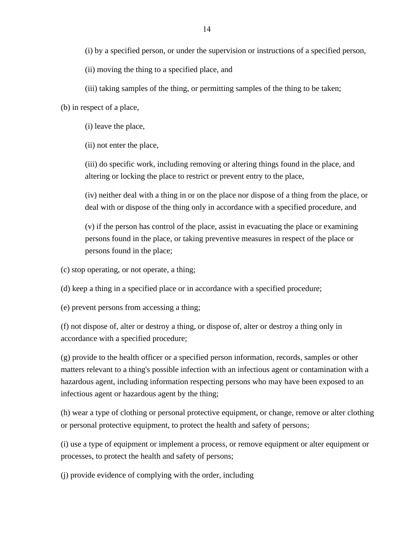(i) by a specified person, or under the supervision or instructions of a specified person,

(ii) moving the thing to a specified place, and

(iii) taking samples of the thing, or permitting samples of the thing to be taken;

(b) in respect of a place,

(i) leave the place,

(ii) not enter the place,

(iii) do specific work, including removing or altering things found in the place, and altering or locking the place to restrict or prevent entry to the place,

(iv) neither deal with a thing in or on the place nor dispose of a thing from the place, or deal with or dispose of the thing only in accordance with a specified procedure, and

(v) if the person has control of the place, assist in evacuating the place or examining persons found in the place, or taking preventive measures in respect of the place or persons found in the place;

(c) stop operating, or not operate, a thing;

(d) keep a thing in a specified place or in accordance with a specified procedure;

(e) prevent persons from accessing a thing;

(f) not dispose of, alter or destroy a thing, or dispose of, alter or destroy a thing only in accordance with a specified procedure;

(g) provide to the health officer or a specified person information, records, samples or other matters relevant to a thing's possible infection with an infectious agent or contamination with a hazardous agent, including information respecting persons who may have been exposed to an infectious agent or hazardous agent by the thing;

(h) wear a type of clothing or personal protective equipment, or change, remove or alter clothing or personal protective equipment, to protect the health and safety of persons;

(i) use a type of equipment or implement a process, or remove equipment or alter equipment or processes, to protect the health and safety of persons;

(j) provide evidence of complying with the order, including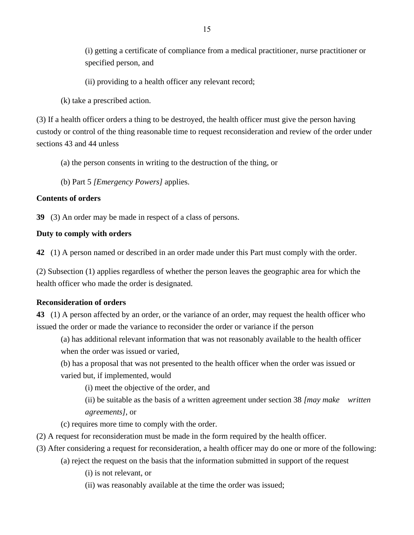(i) getting a certificate of compliance from a medical practitioner, nurse practitioner or specified person, and

(ii) providing to a health officer any relevant record;

(k) take a prescribed action.

(3) If a health officer orders a thing to be destroyed, the health officer must give the person having custody or control of the thing reasonable time to request reconsideration and review of the order under sections 43 and 44 unless

(a) the person consents in writing to the destruction of the thing, or

(b) Part 5 *[Emergency Powers]* applies.

## **Contents of orders**

**39** (3) An order may be made in respect of a class of persons.

## **Duty to comply with orders**

**42** (1) A person named or described in an order made under this Part must comply with the order.

(2) Subsection (1) applies regardless of whether the person leaves the geographic area for which the health officer who made the order is designated.

#### **Reconsideration of orders**

**43** (1) A person affected by an order, or the variance of an order, may request the health officer who issued the order or made the variance to reconsider the order or variance if the person

(a) has additional relevant information that was not reasonably available to the health officer when the order was issued or varied,

(b) has a proposal that was not presented to the health officer when the order was issued or varied but, if implemented, would

(i) meet the objective of the order, and

(ii) be suitable as the basis of a written agreement under section 38 *[may make written agreements]*, or

(c) requires more time to comply with the order.

- (2) A request for reconsideration must be made in the form required by the health officer.
- (3) After considering a request for reconsideration, a health officer may do one or more of the following:
	- (a) reject the request on the basis that the information submitted in support of the request

(i) is not relevant, or

(ii) was reasonably available at the time the order was issued;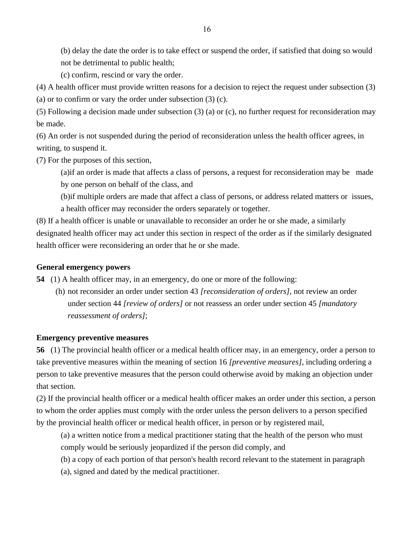(b) delay the date the order is to take effect or suspend the order, if satisfied that doing so would not be detrimental to public health;

(c) confirm, rescind or vary the order.

(4) A health officer must provide written reasons for a decision to reject the request under subsection (3)

(a) or to confirm or vary the order under subsection (3) (c).

(5) Following a decision made under subsection (3) (a) or (c), no further request for reconsideration may be made.

(6) An order is not suspended during the period of reconsideration unless the health officer agrees, in writing, to suspend it.

(7) For the purposes of this section,

(a)if an order is made that affects a class of persons, a request for reconsideration may be made by one person on behalf of the class, and

(b)if multiple orders are made that affect a class of persons, or address related matters or issues, a health officer may reconsider the orders separately or together.

(8) If a health officer is unable or unavailable to reconsider an order he or she made, a similarly designated health officer may act under this section in respect of the order as if the similarly designated health officer were reconsidering an order that he or she made.

## **General emergency powers**

**54** (1) A health officer may, in an emergency, do one or more of the following:

(h) not reconsider an order under section 43 *[reconsideration of orders]*, not review an order under section 44 *[review of orders]* or not reassess an order under section 45 *[mandatory reassessment of orders]*;

#### **Emergency preventive measures**

**56** (1) The provincial health officer or a medical health officer may, in an emergency, order a person to take preventive measures within the meaning of section 16 *[preventive measures]*, including ordering a person to take preventive measures that the person could otherwise avoid by making an objection under that section.

(2) If the provincial health officer or a medical health officer makes an order under this section, a person to whom the order applies must comply with the order unless the person delivers to a person specified by the provincial health officer or medical health officer, in person or by registered mail,

(a) a written notice from a medical practitioner stating that the health of the person who must comply would be seriously jeopardized if the person did comply, and

(b) a copy of each portion of that person's health record relevant to the statement in paragraph

(a), signed and dated by the medical practitioner.